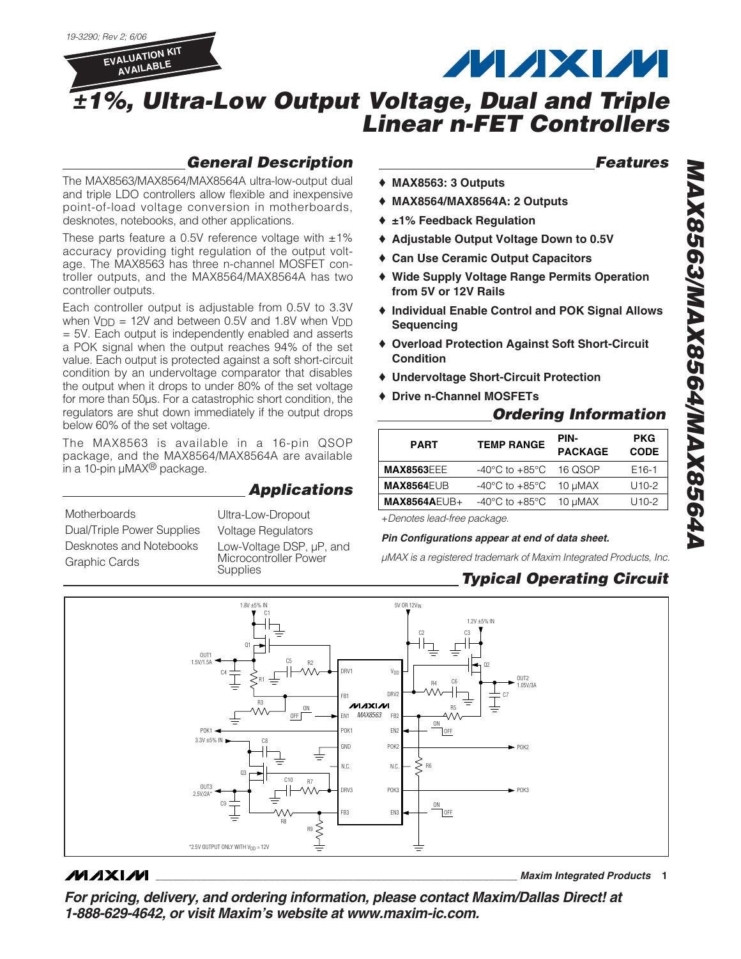

# **MAXM**

*Features*

## *±1%, Ultra-Low Output Voltage, Dual and Triple Linear n-FET Controllers*

### *General Description*

The MAX8563/MAX8564/MAX8564A ultra-low-output dual and triple LDO controllers allow flexible and inexpensive point-of-load voltage conversion in motherboards, desknotes, notebooks, and other applications.

These parts feature a 0.5V reference voltage with  $\pm 1\%$ accuracy providing tight regulation of the output voltage. The MAX8563 has three n-channel MOSFET controller outputs, and the MAX8564/MAX8564A has two controller outputs.

Each controller output is adjustable from 0.5V to 3.3V when  $V_{\text{DD}}$  = 12V and between 0.5V and 1.8V when  $V_{\text{DD}}$ = 5V. Each output is independently enabled and asserts a POK signal when the output reaches 94% of the set value. Each output is protected against a soft short-circuit condition by an undervoltage comparator that disables the output when it drops to under 80% of the set voltage for more than 50µs. For a catastrophic short condition, the regulators are shut down immediately if the output drops below 60% of the set voltage.

The MAX8563 is available in a 16-pin QSOP package, and the MAX8564/MAX8564A are available in a 10-pin  $\mu$ MAX<sup>®</sup> package.

### *Applications*

Dual/Triple Power Supplies Desknotes and Notebooks Graphic Cards

Voltage Regulators Low-Voltage DSP,  $\mu$ P, and Microcontroller Power **Supplies** 

### ♦ **MAX8563: 3 Outputs**

- ♦ **MAX8564/MAX8564A: 2 Outputs**
- ♦ **±1% Feedback Regulation**
- ♦ **Adjustable Output Voltage Down to 0.5V**
- ♦ **Can Use Ceramic Output Capacitors**
- ♦ **Wide Supply Voltage Range Permits Operation from 5V or 12V Rails**
- ♦ **Individual Enable Control and POK Signal Allows Sequencing**
- ♦ **Overload Protection Against Soft Short-Circuit Condition**
- ♦ **Undervoltage Short-Circuit Protection**
- ♦ **Drive n-Channel MOSFETs**

#### *Ordering Information*

| <b>PART</b>                 | <b>TEMP RANGE</b>                    | PIN-<br><b>PACKAGE</b> | <b>PKG</b><br><b>CODE</b> |  |
|-----------------------------|--------------------------------------|------------------------|---------------------------|--|
| <b>MAX8563EEE</b>           | -40 $^{\circ}$ C to +85 $^{\circ}$ C | 16 QSOP                | F <sub>16-1</sub>         |  |
| <b>MAX8564EUB</b>           | -40°C to +85°C                       | 10 µMAX                | $U10-2$                   |  |
| <b>MAX8564AEUB+</b>         | -40 $^{\circ}$ C to +85 $^{\circ}$ C | 10 µMAX                | $U10-2$                   |  |
| Depates load from pool cape |                                      |                        |                           |  |

Motherboards <sup>+</sup>*Denotes lead-free package.* Ultra-Low-Dropout

#### *Pin Configurations appear at end of data sheet.*

*µMAX is a registered trademark of Maxim Integrated Products, Inc.*

### *Typical Operating Circuit*



#### **MAXM**

**\_\_\_\_\_\_\_\_\_\_\_\_\_\_\_\_\_\_\_\_\_\_\_\_\_\_\_\_\_\_\_\_\_\_\_\_\_\_\_\_\_\_\_\_\_\_\_\_\_\_\_\_\_\_\_\_\_\_\_\_\_\_\_\_** *Maxim Integrated Products* **1**

*For pricing, delivery, and ordering information, please contact Maxim/Dallas Direct! at 1-888-629-4642, or visit Maxim's website at www.maxim-ic.com.*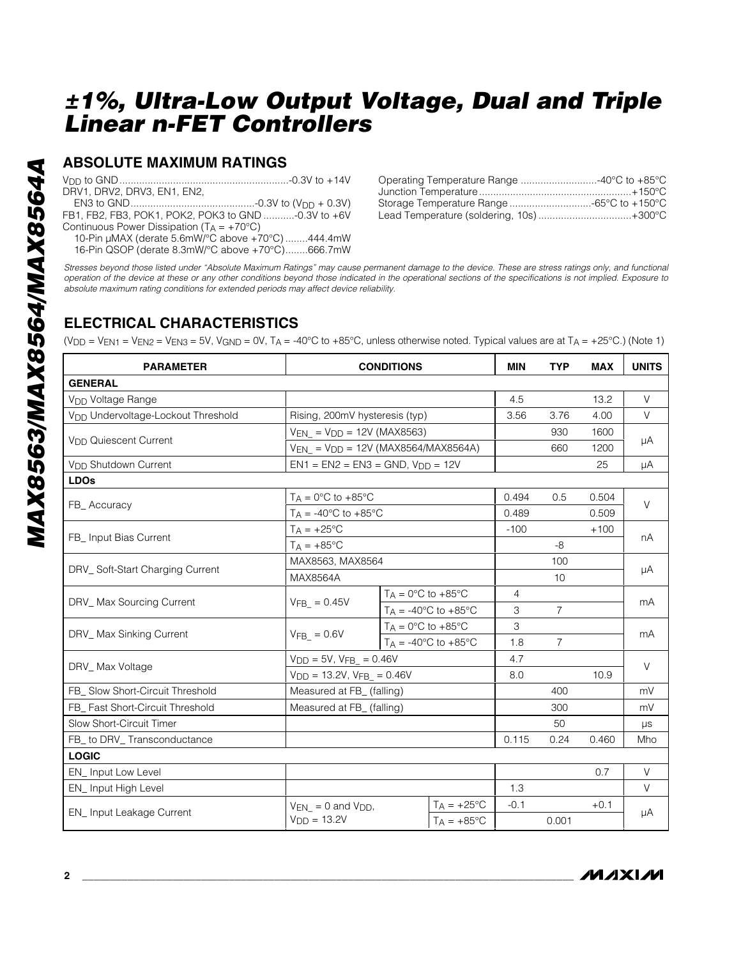#### **ABSOLUTE MAXIMUM RATINGS**

*absolute maximum rating conditions for extended periods may affect device reliability.*<br> *absolute maximum rating conditions for extended periods may affect device reliability.*<br>
FB1, FB2, FB3, POK1, POK2, POK3 to GND ... DRV1, DRV2, DRV3, EN1, EN2, EN3 to GND............................................-0.3V to (VDD + 0.3V) FB1, FB2, FB3, POK1, POK2, POK3 to GND ...........-0.3V to +6V Continuous Power Dissipation ( $T_A = +70^{\circ}C$ ) 10-Pin µMAX (derate 5.6mW/°C above +70°C) ........444.4mW 16-Pin QSOP (derate 8.3mW/°C above +70°C)........666.7mW

| Operating Temperature Range 40°C to +85°C |  |
|-------------------------------------------|--|
|                                           |  |
|                                           |  |
| Lead Temperature (soldering, 10s)  +300°C |  |

*Stresses beyond those listed under "Absolute Maximum Ratings" may cause permanent damage to the device. These are stress ratings only, and functional operation of the device at these or any other conditions beyond those indicated in the operational sections of the specifications is not implied. Exposure to*

### **ELECTRICAL CHARACTERISTICS**

(V<sub>DD</sub> = V<sub>EN1</sub> = V<sub>EN2</sub> = V<sub>EN3</sub> = 5V, V<sub>GND</sub> = 0V, T<sub>A</sub> = -40°C to +85°C, unless otherwise noted. Typical values are at T<sub>A</sub> = +25°C.) (Note 1)

| <b>PARAMETER</b>                               | <b>CONDITIONS</b>                            |                                                  |                                          | <b>MIN</b> | <b>TYP</b>     | <b>MAX</b> | <b>UNITS</b> |  |
|------------------------------------------------|----------------------------------------------|--------------------------------------------------|------------------------------------------|------------|----------------|------------|--------------|--|
| <b>GENERAL</b>                                 |                                              |                                                  |                                          |            |                |            |              |  |
| V <sub>DD</sub> Voltage Range                  |                                              |                                                  | 4.5                                      |            | 13.2           | $\vee$     |              |  |
| V <sub>DD</sub> Undervoltage-Lockout Threshold | Rising, 200mV hysteresis (typ)               |                                                  |                                          | 3.56       | 3.76           | 4.00       | $\vee$       |  |
|                                                | $V_{EN} = V_{DD} = 12V (MAX8563)$            |                                                  |                                          |            | 930            | 1600       | μA           |  |
| V <sub>DD</sub> Quiescent Current              | $V_{EN}$ = $V_{DD}$ = 12V (MAX8564/MAX8564A) |                                                  |                                          |            | 660            | 1200       |              |  |
| V <sub>DD</sub> Shutdown Current               | $EN1 = EN2 = EN3 = GND, VDD = 12V$           |                                                  |                                          |            |                | 25         | μA           |  |
| <b>LDOs</b>                                    |                                              |                                                  |                                          |            |                |            |              |  |
|                                                | $T_A = 0$ °C to +85°C                        |                                                  |                                          | 0.494      | 0.5            | 0.504      |              |  |
| FB_Accuracy                                    | $T_A = -40$ °C to $+85$ °C                   |                                                  |                                          | 0.489      |                | 0.509      | $\vee$       |  |
|                                                | $T_A = +25$ °C                               |                                                  |                                          | $-100$     |                | $+100$     |              |  |
| FB_ Input Bias Current                         | $T_A = +85^{\circ}C$                         |                                                  |                                          |            | $-8$           |            | nA           |  |
|                                                | MAX8563, MAX8564                             |                                                  |                                          |            | 100            |            |              |  |
| DRV_Soft-Start Charging Current                | <b>MAX8564A</b>                              |                                                  |                                          |            | 10             |            | μA           |  |
|                                                |                                              | $T_A = 0^\circ \text{C}$ to $+85^\circ \text{C}$ |                                          | 4          |                |            | mA           |  |
| DRV_Max Sourcing Current                       | $VFB = 0.45V$                                |                                                  | $T_A = -40^{\circ}$ C to $+85^{\circ}$ C | 3          | $\overline{7}$ |            |              |  |
|                                                | $VFB = 0.6V$                                 | $T_A = 0^\circ \text{C}$ to $+85^\circ \text{C}$ |                                          | 3          |                |            | mA           |  |
| DRV_ Max Sinking Current                       |                                              |                                                  | $T_A = -40^{\circ}$ C to $+85^{\circ}$ C | 1.8        | $\overline{7}$ |            |              |  |
|                                                | $V_{DD} = 5V$ , $V_{FB} = 0.46V$             |                                                  | 4.7                                      |            |                | $\vee$     |              |  |
| DRV_Max Voltage                                | $V_{DD} = 13.2V$ , $V_{FB} = 0.46V$          |                                                  | 8.0                                      |            | 10.9           |            |              |  |
| FB_ Slow Short-Circuit Threshold               | Measured at FB_ (falling)                    |                                                  |                                          |            | 400            |            | mV           |  |
| FB_ Fast Short-Circuit Threshold               | Measured at FB_ (falling)                    |                                                  |                                          | 300        |                | mV         |              |  |
| Slow Short-Circuit Timer                       |                                              |                                                  |                                          | 50         |                | μs         |              |  |
| FB_ to DRV_ Transconductance                   |                                              |                                                  | 0.115                                    | 0.24       | 0.460          | Mho        |              |  |
| <b>LOGIC</b>                                   |                                              |                                                  |                                          |            |                |            |              |  |
| EN_Input Low Level                             |                                              |                                                  |                                          |            | 0.7            | $\vee$     |              |  |
| EN_Input High Level                            |                                              |                                                  |                                          | 1.3        |                |            | V            |  |
|                                                | $V_{EN} = 0$ and $V_{DD}$ ,                  |                                                  | $T_A = +25$ °C                           | $-0.1$     |                | $+0.1$     |              |  |
| <b>EN_Input Leakage Current</b>                | $VDD = 13.2V$                                |                                                  | $T_A = +85^{\circ}C$                     |            | 0.001          |            | μA           |  |

**MAXIM**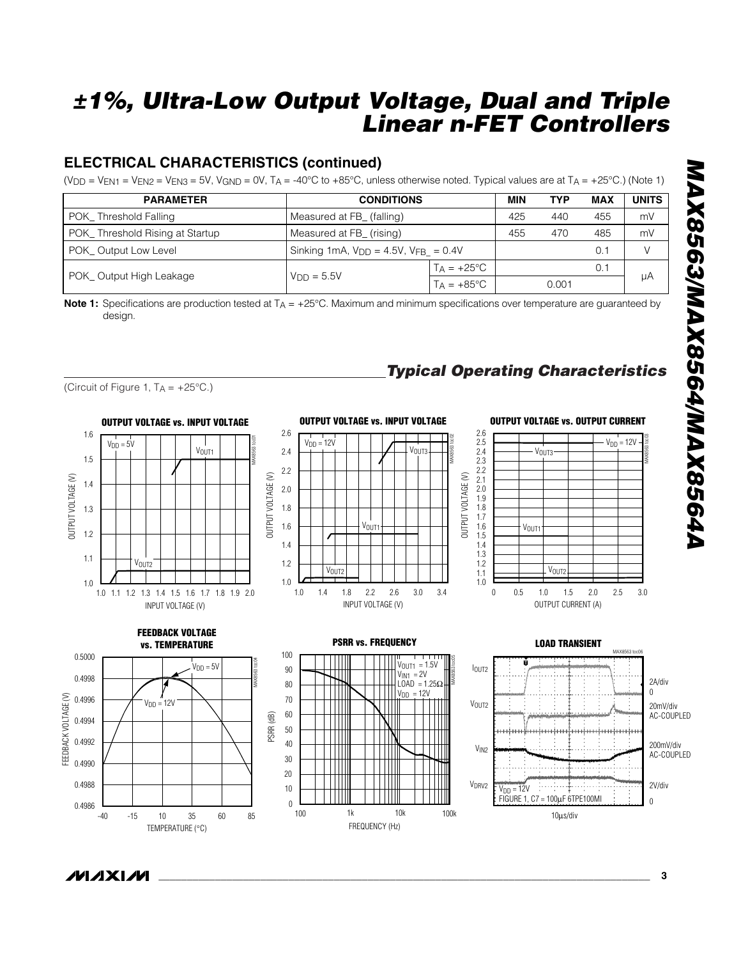### **ELECTRICAL CHARACTERISTICS (continued)**

(V<sub>DD</sub> = V<sub>EN1</sub> = V<sub>EN2</sub> = V<sub>EN3</sub> = 5V, V<sub>GND</sub> = 0V, T<sub>A</sub> = -40°C to +85°C, unless otherwise noted. Typical values are at T<sub>A</sub> = +25°C.) (Note 1)

| <b>PARAMETER</b>                | <b>CONDITIONS</b>                              | MIN                       | <b>TYP</b> | <b>MAX</b> | <b>UNITS</b> |    |
|---------------------------------|------------------------------------------------|---------------------------|------------|------------|--------------|----|
| POK Threshold Falling           |                                                | Measured at FB_ (falling) |            |            | 455          | mV |
| POK_Threshold Rising at Startup | Measured at FB_ (rising)                       | 455                       | 470        | 485        | mV           |    |
| POK_Output Low Level            | Sinking 1mA, $V_{DD} = 4.5V$ , $V_{FB} = 0.4V$ |                           |            | 0.1        |              |    |
|                                 |                                                | $T_A = +25$ °C            |            |            | 0.1          |    |
| POK_Output High Leakage         | $VDD = 5.5V$                                   | $T_A = +85^{\circ}C$      |            | 0.001      |              | μA |

**Note 1:** Specifications are production tested at T<sub>A</sub> = +25°C. Maximum and minimum specifications over temperature are guaranteed by design.







### **OUTPUT VOLTAGE vs. OUTPUT CURRENT**

*Typical Operating Characteristics*





![](_page_2_Figure_11.jpeg)

![](_page_2_Figure_12.jpeg)

![](_page_2_Figure_13.jpeg)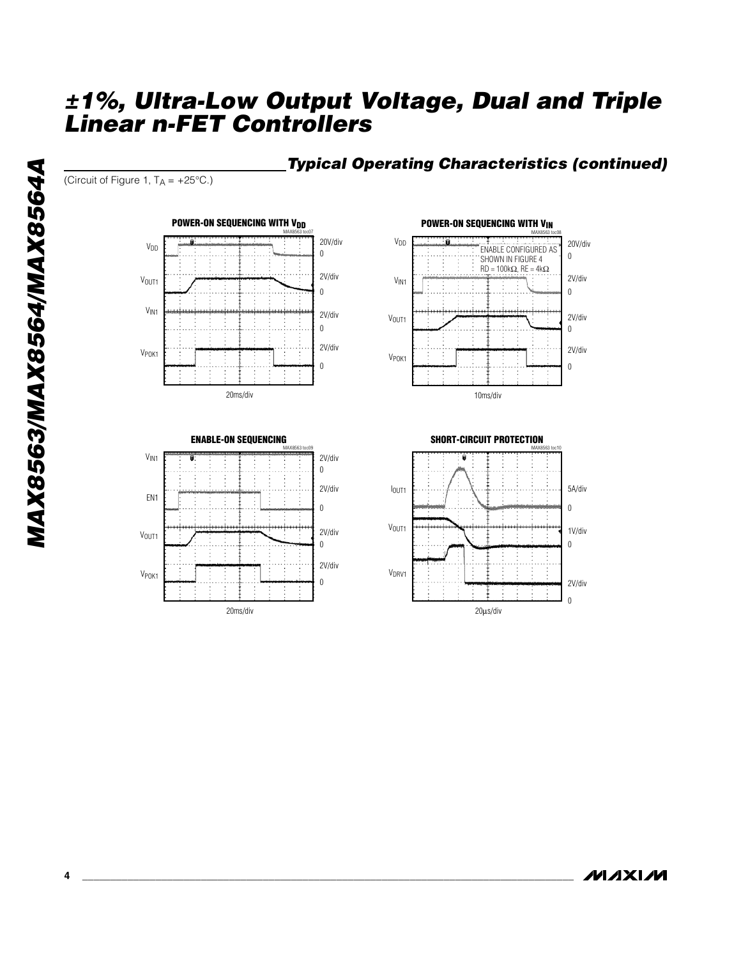#### *Typical Operating Characteristics (continued)*

(Circuit of Figure 1,  $T_A = +25^{\circ}C$ .)

![](_page_3_Figure_3.jpeg)

![](_page_3_Figure_4.jpeg)

![](_page_3_Figure_5.jpeg)

![](_page_3_Figure_6.jpeg)

**MAXIM**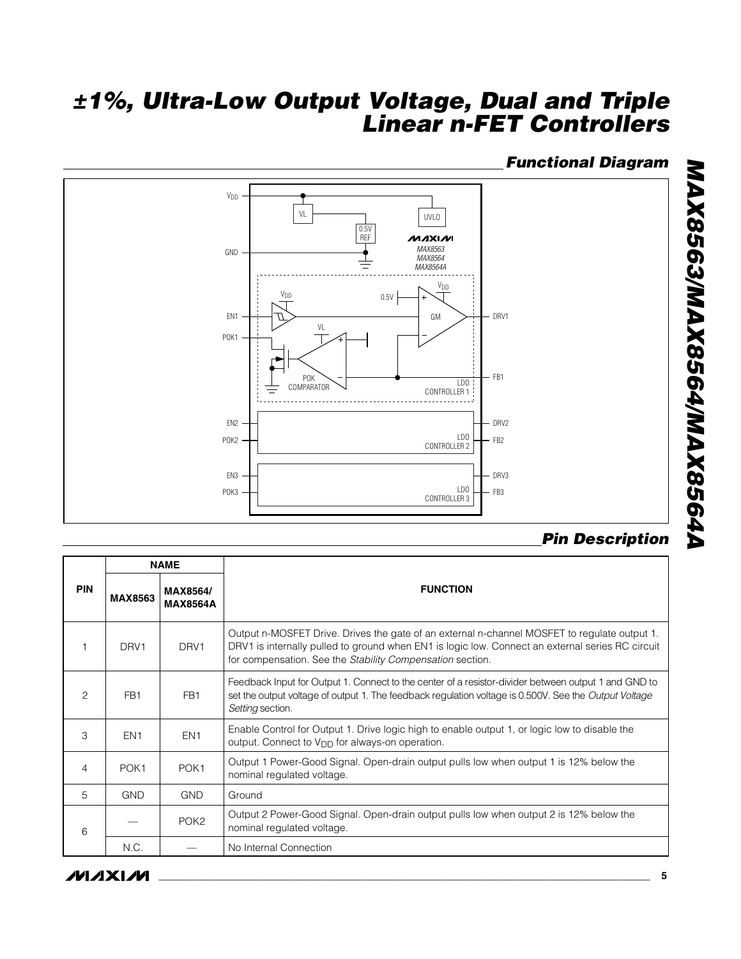#### *Functional Diagram*

![](_page_4_Figure_2.jpeg)

### *Pin Description*

|                |                  |                                    | V <sub>DD</sub><br>V <sub>DD</sub><br>0.5V<br>DRV1<br>EN1<br>GM<br>VL<br>POK1<br>FB1<br><b>POK</b><br>LD <sub>0</sub><br>COMPARATOR<br>CONTROLLER 1<br>EN <sub>2</sub><br>DRV2<br>LD <sub>0</sub><br>POK2<br>FB <sub>2</sub><br>CONTROLLER 2<br>DRV3<br>EN3<br>LD <sub>0</sub><br>POK3 -<br>FB <sub>3</sub><br>CONTROLLER 3 |  |  |  |  |
|----------------|------------------|------------------------------------|-----------------------------------------------------------------------------------------------------------------------------------------------------------------------------------------------------------------------------------------------------------------------------------------------------------------------------|--|--|--|--|
|                |                  | <b>NAME</b>                        | <b>Pin Description</b>                                                                                                                                                                                                                                                                                                      |  |  |  |  |
| PIN            | <b>MAX8563</b>   | <b>MAX8564/</b><br><b>MAX8564A</b> | <b>FUNCTION</b>                                                                                                                                                                                                                                                                                                             |  |  |  |  |
| $\mathbf{1}$   | DRV <sub>1</sub> | DRV <sub>1</sub>                   | Output n-MOSFET Drive. Drives the gate of an external n-channel MOSFET to regulate output 1.<br>DRV1 is internally pulled to ground when EN1 is logic low. Connect an external series RC circuit<br>for compensation. See the Stability Compensation section.                                                               |  |  |  |  |
| 2              | FB <sub>1</sub>  | FB <sub>1</sub>                    | Feedback Input for Output 1. Connect to the center of a resistor-divider between output 1 and GND to<br>set the output voltage of output 1. The feedback regulation voltage is 0.500V. See the Output Voltage<br>Setting section.                                                                                           |  |  |  |  |
| 3              | EN <sub>1</sub>  | EN <sub>1</sub>                    | Enable Control for Output 1. Drive logic high to enable output 1, or logic low to disable the<br>output. Connect to V <sub>DD</sub> for always-on operation.                                                                                                                                                                |  |  |  |  |
| $\overline{4}$ | POK <sub>1</sub> | POK <sub>1</sub>                   | Output 1 Power-Good Signal. Open-drain output pulls low when output 1 is 12% below the<br>nominal regulated voltage.                                                                                                                                                                                                        |  |  |  |  |
| 5              | <b>GND</b>       | <b>GND</b>                         | Ground                                                                                                                                                                                                                                                                                                                      |  |  |  |  |
| $\,6\,$        |                  | POK <sub>2</sub>                   | Output 2 Power-Good Signal. Open-drain output pulls low when output 2 is 12% below the<br>nominal regulated voltage.                                                                                                                                                                                                        |  |  |  |  |
|                | N.C.             |                                    | No Internal Connection                                                                                                                                                                                                                                                                                                      |  |  |  |  |
|                | ИЛХИИ            |                                    | 5                                                                                                                                                                                                                                                                                                                           |  |  |  |  |

#### **MAXIM**

**MAX8563/MAX8564/MAX8564A** *MAX8563/MAX8564/MAX8564A*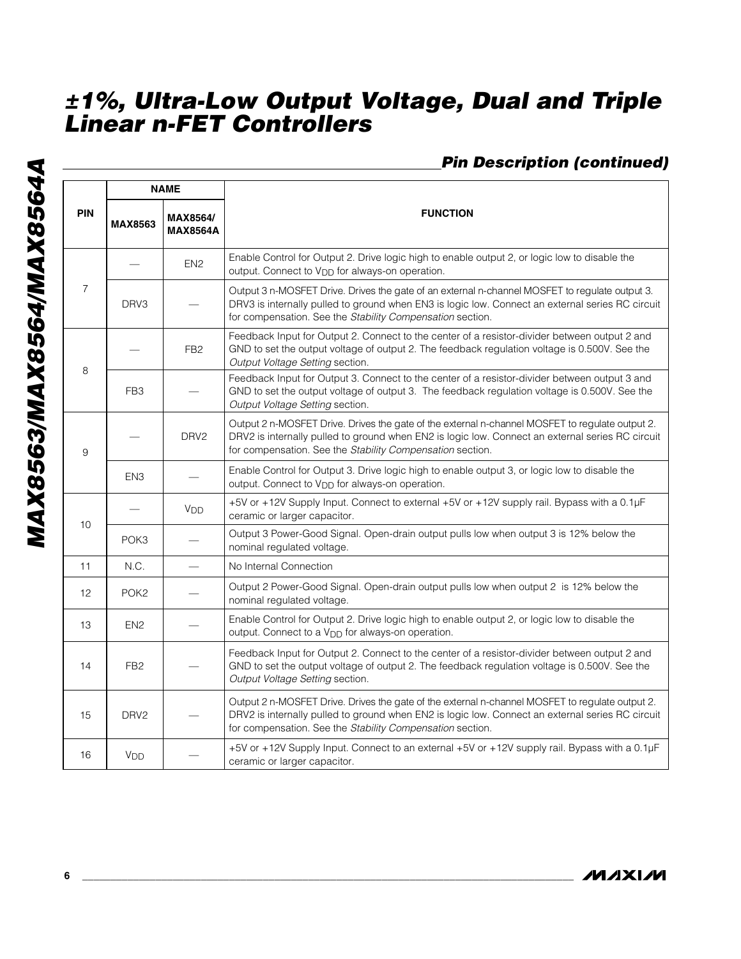### *Pin Description (continued)*

|                 | <b>NAME</b>           |                             |                                                                                                                                                                                                                                                                  |
|-----------------|-----------------------|-----------------------------|------------------------------------------------------------------------------------------------------------------------------------------------------------------------------------------------------------------------------------------------------------------|
| <b>PIN</b>      | <b>MAX8563</b>        | MAX8564/<br><b>MAX8564A</b> | <b>FUNCTION</b>                                                                                                                                                                                                                                                  |
|                 |                       | EN <sub>2</sub>             | Enable Control for Output 2. Drive logic high to enable output 2, or logic low to disable the<br>output. Connect to V <sub>DD</sub> for always-on operation.                                                                                                     |
| $\overline{7}$  | DRV3                  |                             | Output 3 n-MOSFET Drive. Drives the gate of an external n-channel MOSFET to regulate output 3.<br>DRV3 is internally pulled to ground when EN3 is logic low. Connect an external series RC circuit<br>for compensation. See the Stability Compensation section.  |
| FB <sub>2</sub> |                       |                             | Feedback Input for Output 2. Connect to the center of a resistor-divider between output 2 and<br>GND to set the output voltage of output 2. The feedback regulation voltage is 0.500V. See the<br>Output Voltage Setting section.                                |
| 8               | FB <sub>3</sub>       |                             | Feedback Input for Output 3. Connect to the center of a resistor-divider between output 3 and<br>GND to set the output voltage of output 3. The feedback regulation voltage is 0.500V. See the<br>Output Voltage Setting section.                                |
| 9               |                       | DRV <sub>2</sub>            | Output 2 n-MOSFET Drive. Drives the gate of the external n-channel MOSFET to regulate output 2.<br>DRV2 is internally pulled to ground when EN2 is logic low. Connect an external series RC circuit<br>for compensation. See the Stability Compensation section. |
|                 | EN <sub>3</sub>       |                             | Enable Control for Output 3. Drive logic high to enable output 3, or logic low to disable the<br>output. Connect to V <sub>DD</sub> for always-on operation.                                                                                                     |
| 10              |                       | V <sub>DD</sub>             | +5V or +12V Supply Input. Connect to external +5V or +12V supply rail. Bypass with a 0.1µF<br>ceramic or larger capacitor.                                                                                                                                       |
|                 | POK <sub>3</sub>      |                             | Output 3 Power-Good Signal. Open-drain output pulls low when output 3 is 12% below the<br>nominal regulated voltage.                                                                                                                                             |
| 11              | N.C.                  | $\overline{\phantom{0}}$    | No Internal Connection                                                                                                                                                                                                                                           |
| 12              | POK <sub>2</sub>      |                             | Output 2 Power-Good Signal. Open-drain output pulls low when output 2 is 12% below the<br>nominal regulated voltage.                                                                                                                                             |
| 13              | EN <sub>2</sub>       |                             | Enable Control for Output 2. Drive logic high to enable output 2, or logic low to disable the<br>output. Connect to a V <sub>DD</sub> for always-on operation.                                                                                                   |
| 14              | FB <sub>2</sub>       |                             | Feedback Input for Output 2. Connect to the center of a resistor-divider between output 2 and<br>GND to set the output voltage of output 2. The feedback regulation voltage is 0.500V. See the<br>Output Voltage Setting section.                                |
| 15              | DRV <sub>2</sub>      |                             | Output 2 n-MOSFET Drive. Drives the gate of the external n-channel MOSFET to regulate output 2.<br>DRV2 is internally pulled to ground when EN2 is logic low. Connect an external series RC circuit<br>for compensation. See the Stability Compensation section. |
| 16              | <b>V<sub>DD</sub></b> |                             | +5V or +12V Supply Input. Connect to an external +5V or +12V supply rail. Bypass with a 0.1µF<br>ceramic or larger capacitor.                                                                                                                                    |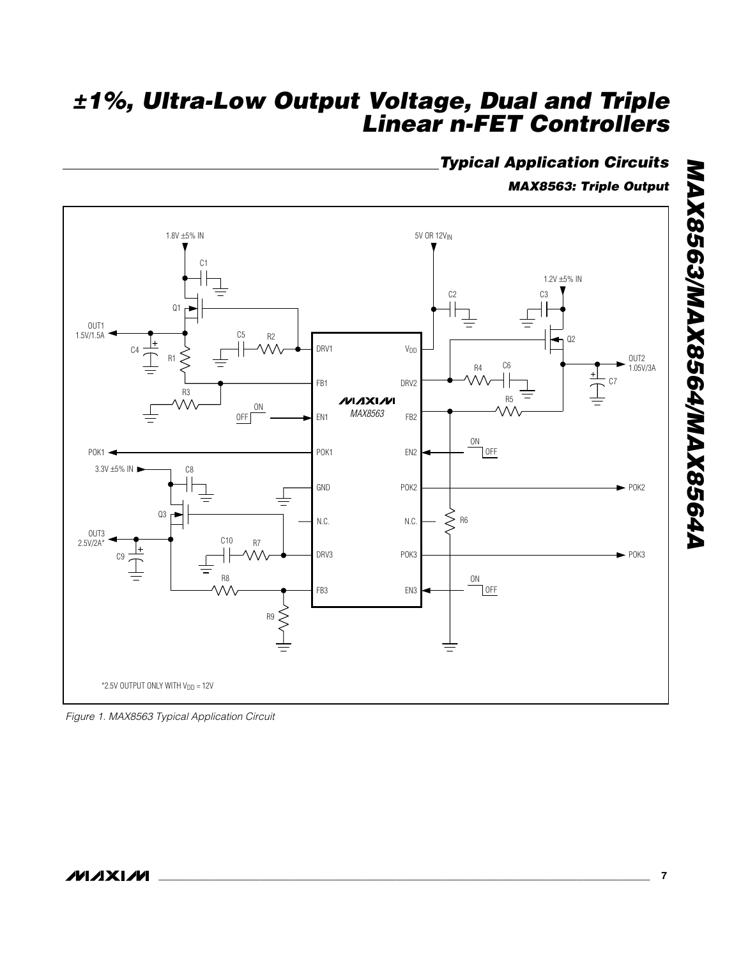### *Typical Application Circuits*

*MAX8563: Triple Output*

![](_page_6_Figure_3.jpeg)

*Figure 1. MAX8563 Typical Application Circuit*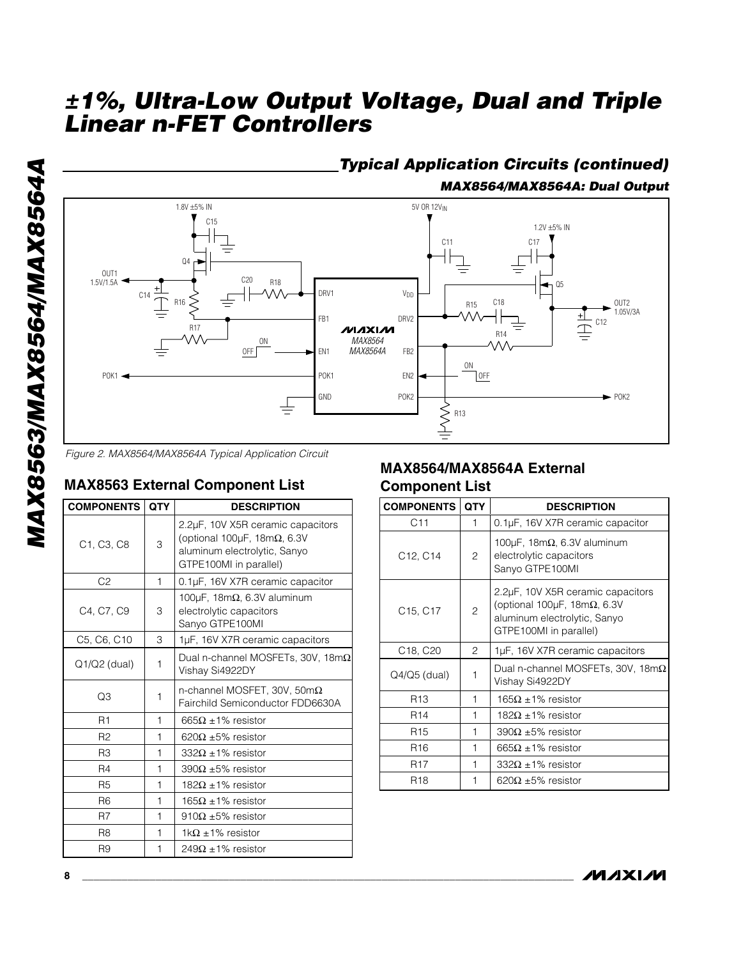![](_page_7_Figure_2.jpeg)

*Figure 2. MAX8564/MAX8564A Typical Application Circuit*

#### **MAX8563 External Component List**

| <b>COMPONENTS</b>                                | <b>QTY</b> | <b>DESCRIPTION</b>                                                                                                                        |
|--------------------------------------------------|------------|-------------------------------------------------------------------------------------------------------------------------------------------|
| C <sub>1</sub> , C <sub>3</sub> , C <sub>8</sub> | 3          | 2.2µF, 10V X5R ceramic capacitors<br>(optional 100 $\mu$ F, 18m $\Omega$ , 6.3V<br>aluminum electrolytic, Sanyo<br>GTPE100MI in parallel) |
| C <sub>2</sub>                                   | 1          | 0.1µF, 16V X7R ceramic capacitor                                                                                                          |
| C4. C7. C9<br>3                                  |            | 100 $\mu$ F, 18m $\Omega$ , 6.3V aluminum<br>electrolytic capacitors<br>Sanyo GTPE100MI                                                   |
| C5, C6, C10                                      | 3          | 1µF, 16V X7R ceramic capacitors                                                                                                           |
| 1<br>$Q1/Q2$ (dual)                              |            | Dual n-channel MOSFETs, 30V, 18m $\Omega$<br>Vishay Si4922DY                                                                              |
| O3<br>1                                          |            | n-channel MOSFET, 30V, 50m $\Omega$<br>Fairchild Semiconductor FDD6630A                                                                   |
| R <sub>1</sub>                                   | 1          | $665\Omega \pm 1\%$ resistor                                                                                                              |
| R <sub>2</sub>                                   | 1          | $620\Omega$ ±5% resistor                                                                                                                  |
| R3                                               | 1          | $332\Omega \pm 1\%$ resistor                                                                                                              |
| R <sub>4</sub>                                   | 1          | $390\Omega + 5\%$ resistor                                                                                                                |
| R <sub>5</sub><br>1                              |            | 182Ω ±1% resistor                                                                                                                         |
| R <sub>6</sub>                                   | 1          | $165\Omega \pm 1\%$ resistor                                                                                                              |
| R7                                               | 1          | 910 $\Omega$ ±5% resistor                                                                                                                 |
| R <sub>8</sub>                                   | 1          | $1k\Omega$ ±1% resistor                                                                                                                   |
| R9                                               | 1          | $249\Omega \pm 1\%$ resistor                                                                                                              |

#### **MAX8564/MAX8564A External Component List**

| <b>COMPONENTS</b>                                                                                                     | <b>QTY</b>                      | <b>DESCRIPTION</b>                                                                      |
|-----------------------------------------------------------------------------------------------------------------------|---------------------------------|-----------------------------------------------------------------------------------------|
| C11                                                                                                                   | 1                               | 0.1µF, 16V X7R ceramic capacitor                                                        |
| C <sub>12</sub> , C <sub>14</sub>                                                                                     | 2                               | 100 $\mu$ F, 18m $\Omega$ , 6.3V aluminum<br>electrolytic capacitors<br>Sanyo GTPE100MI |
| (optional 100 $\mu$ F, 18m $\Omega$ , 6.3V<br>2<br>C15, C17<br>aluminum electrolytic, Sanyo<br>GTPE100MI in parallel) |                                 | 2.2µF, 10V X5R ceramic capacitors                                                       |
| C <sub>18</sub> , C <sub>20</sub>                                                                                     | 2                               | 1µF, 16V X7R ceramic capacitors                                                         |
| Q4/Q5 (dual)                                                                                                          | 1                               | Dual n-channel MOSFETs, 30V, 18m $\Omega$<br>Vishay Si4922DY                            |
| R <sub>13</sub><br>1                                                                                                  |                                 | $165\Omega \pm 1\%$ resistor                                                            |
| R <sub>14</sub><br>1                                                                                                  |                                 | $182\Omega \pm 1\%$ resistor                                                            |
| R <sub>15</sub><br>1                                                                                                  |                                 | $390\Omega$ ±5% resistor                                                                |
| R <sub>16</sub>                                                                                                       | 1<br>$665\Omega + 1\%$ resistor |                                                                                         |
| <b>R17</b>                                                                                                            | 1<br>$332\Omega + 1\%$ resistor |                                                                                         |
| <b>R18</b><br>1                                                                                                       |                                 | 620 $\Omega$ ±5% resistor                                                               |

![](_page_7_Picture_8.jpeg)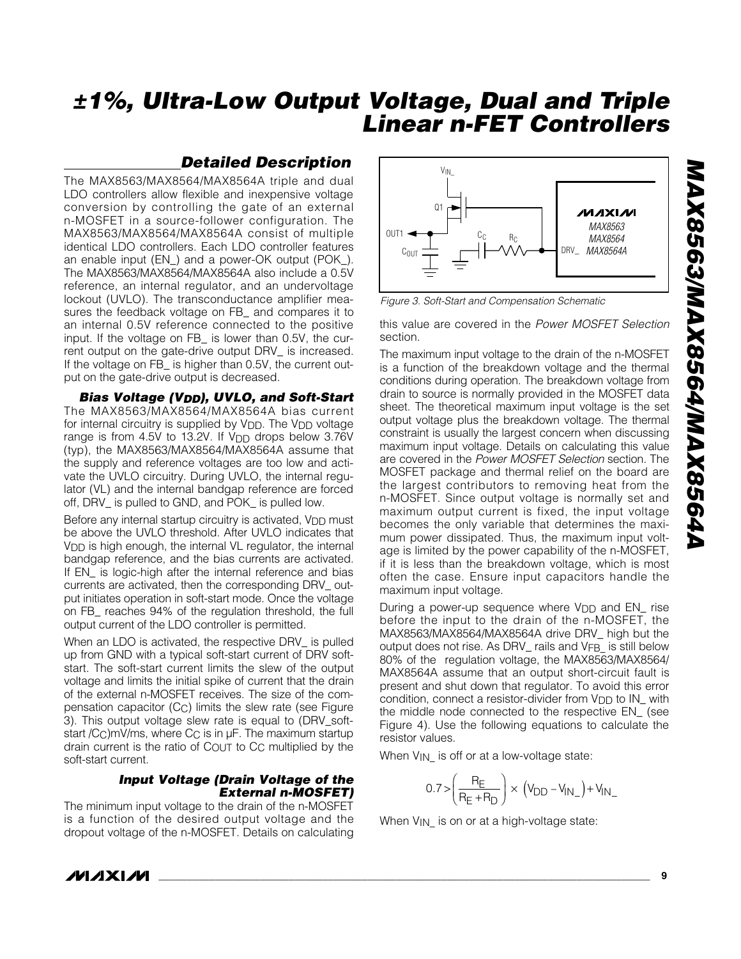#### *Detailed Description*

The MAX8563/MAX8564/MAX8564A triple and dual LDO controllers allow flexible and inexpensive voltage conversion by controlling the gate of an external n-MOSFET in a source-follower configuration. The MAX8563/MAX8564/MAX8564A consist of multiple identical LDO controllers. Each LDO controller features an enable input (EN\_) and a power-OK output (POK\_). The MAX8563/MAX8564/MAX8564A also include a 0.5V reference, an internal regulator, and an undervoltage lockout (UVLO). The transconductance amplifier measures the feedback voltage on FB\_ and compares it to an internal 0.5V reference connected to the positive input. If the voltage on FB\_ is lower than 0.5V, the current output on the gate-drive output DRV\_ is increased. If the voltage on FB\_ is higher than 0.5V, the current output on the gate-drive output is decreased.

*Bias Voltage (VDD), UVLO, and Soft-Start* The MAX8563/MAX8564/MAX8564A bias current for internal circuitry is supplied by V<sub>DD</sub>. The V<sub>DD</sub> voltage range is from 4.5V to 13.2V. If  $V_{DD}$  drops below 3.76V (typ), the MAX8563/MAX8564/MAX8564A assume that the supply and reference voltages are too low and activate the UVLO circuitry. During UVLO, the internal regulator (VL) and the internal bandgap reference are forced off, DRV\_ is pulled to GND, and POK\_ is pulled low.

Before any internal startup circuitry is activated, V<sub>DD</sub> must be above the UVLO threshold. After UVLO indicates that VDD is high enough, the internal VL regulator, the internal bandgap reference, and the bias currents are activated. If EN\_ is logic-high after the internal reference and bias currents are activated, then the corresponding DRV\_ output initiates operation in soft-start mode. Once the voltage on FB\_ reaches 94% of the regulation threshold, the full output current of the LDO controller is permitted.

When an LDO is activated, the respective DRV is pulled up from GND with a typical soft-start current of DRV softstart. The soft-start current limits the slew of the output voltage and limits the initial spike of current that the drain of the external n-MOSFET receives. The size of the compensation capacitor (CC) limits the slew rate (see Figure 3). This output voltage slew rate is equal to (DRV\_softstart /C<sub>C</sub>)mV/ms, where C<sub>C</sub> is in µF. The maximum startup drain current is the ratio of COUT to CC multiplied by the soft-start current.

#### *Input Voltage (Drain Voltage of the External n-MOSFET)*

The minimum input voltage to the drain of the n-MOSFET is a function of the desired output voltage and the dropout voltage of the n-MOSFET. Details on calculating

![](_page_8_Figure_9.jpeg)

*Figure 3. Soft-Start and Compensation Schematic*

this value are covered in the *Power MOSFET Selection* section.

The maximum input voltage to the drain of the n-MOSFET is a function of the breakdown voltage and the thermal conditions during operation. The breakdown voltage from drain to source is normally provided in the MOSFET data sheet. The theoretical maximum input voltage is the set output voltage plus the breakdown voltage. The thermal constraint is usually the largest concern when discussing maximum input voltage. Details on calculating this value are covered in the *Power MOSFET Selection* section. The MOSFET package and thermal relief on the board are the largest contributors to removing heat from the n-MOSFET. Since output voltage is normally set and maximum output current is fixed, the input voltage becomes the only variable that determines the maximum power dissipated. Thus, the maximum input voltage is limited by the power capability of the n-MOSFET, if it is less than the breakdown voltage, which is most often the case. Ensure input capacitors handle the maximum input voltage.

During a power-up sequence where  $V_{DD}$  and  $EN$  rise before the input to the drain of the n-MOSFET, the MAX8563/MAX8564/MAX8564A drive DRV\_ high but the output does not rise. As DRV\_ rails and VFB is still below 80% of the regulation voltage, the MAX8563/MAX8564/ MAX8564A assume that an output short-circuit fault is present and shut down that regulator. To avoid this error condition, connect a resistor-divider from V<sub>DD</sub> to IN\_ with the middle node connected to the respective EN\_ (see Figure 4). Use the following equations to calculate the resistor values.

When  $V_{IN}$  is off or at a low-voltage state:

$$
0.7 > \left(\frac{R_E}{R_E + R_D}\right) \times \left(V_{DD} - V_{IN_-}\right) + V_{IN_-}
$$

When V<sub>IN</sub> is on or at a high-voltage state:

*MAXM*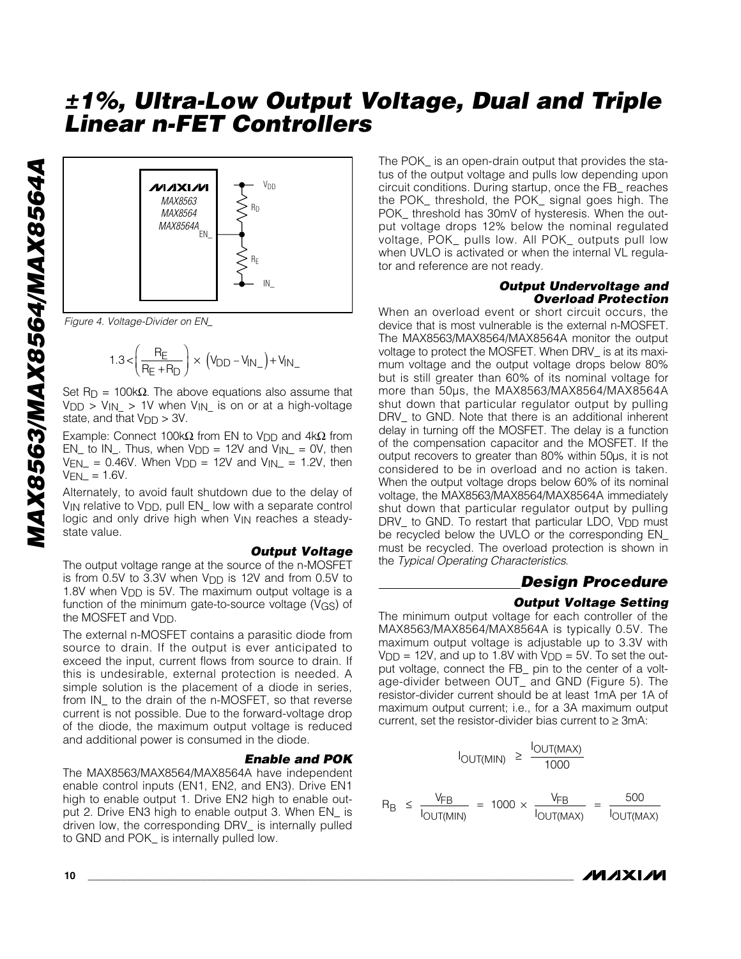![](_page_9_Figure_1.jpeg)

*Figure 4. Voltage-Divider on EN\_*

$$
1.3<\!\left(\frac{R_E}{R_E+R_D}\right)\times\left(V_{DD}-V_{IN_-}\right)+V_{IN_-}
$$

 $_D$  = 100k $\Omega$ . The above equations also assume that  $V_{\text{DD}} > V_{\text{IN}} > 1V$  when  $V_{\text{IN}}$  is on or at a high-voltage state, and that  $V_{\text{DD}} > 3V$ .

Example: Connect 100k $\Omega$  from EN to V<sub>DD</sub> and 4k $\Omega$  from EN\_ to IN\_. Thus, when  $V_{DD} = 12V$  and  $V_{IN} = 0V$ , then  $V_{EN-} = 0.46V$ . When  $V_{DD} = 12V$  and  $V_{IN-} = 1.2V$ , then  $V_{\text{EN}} = 1.6V$ .

Alternately, to avoid fault shutdown due to the delay of  $V_{IN}$  relative to  $V_{DD}$ , pull EN\_ low with a separate control logic and only drive high when V<sub>IN</sub> reaches a steadystate value.

#### *Output Voltage*

*±1%, Ultra-Low Output Voltage, Dual and Triple*

The output voltage range at the source of the n-MOSFET is from 0.5V to 3.3V when  $V_{\text{DD}}$  is 12V and from 0.5V to 1.8V when V<sub>DD</sub> is 5V. The maximum output voltage is a function of the minimum gate-to-source voltage (VGS) of the MOSFET and V<sub>DD</sub>.

The external n-MOSFET contains a parasitic diode from source to drain. If the output is ever anticipated to exceed the input, current flows from source to drain. If this is undesirable, external protection is needed. A simple solution is the placement of a diode in series, from IN\_ to the drain of the n-MOSFET, so that reverse current is not possible. Due to the forward-voltage drop of the diode, the maximum output voltage is reduced and additional power is consumed in the diode.

#### *Enable and POK*

R B

The MAX8563/MAX8564/MAX8564A have independent enable control inputs (EN1, EN2, and EN3). Drive EN1 high to enable output 1. Drive EN2 high to enable output 2. Drive EN3 high to enable output 3. When EN\_ is driven low, the corresponding DRV\_ is internally pulled to GND and POK\_ is internally pulled low.

The POK\_ is an open-drain output that provides the status of the output voltage and pulls low depending upon circuit conditions. During startup, once the FB\_ reaches the POK\_ threshold, the POK\_ signal goes high. The POK\_ threshold has 30mV of hysteresis. When the output voltage drops 12% below the nominal regulated voltage, POK\_ pulls low. All POK\_ outputs pull low when UVLO is activated or when the internal VL regulator and reference are not ready.

#### *Output Undervoltage and Overload Protection*

When an overload event or short circuit occurs, the device that is most vulnerable is the external n-MOSFET. The MAX8563/MAX8564/MAX8564A monitor the output voltage to protect the MOSFET. When DRV\_ is at its maximum voltage and the output voltage drops below 80% but is still greater than 60% of its nominal voltage for more than 50µs, the MAX8563/MAX8564/MAX8564A shut down that particular regulator output by pulling DRV\_ to GND. Note that there is an additional inherent delay in turning off the MOSFET. The delay is a function of the compensation capacitor and the MOSFET. If the output recovers to greater than 80% within 50µs, it is not considered to be in overload and no action is taken. When the output voltage drops below 60% of its nominal voltage, the MAX8563/MAX8564/MAX8564A immediately shut down that particular regulator output by pulling DRV<sub>\_</sub> to GND. To restart that particular LDO,  $V_{DD}$  must be recycled below the UVLO or the corresponding EN\_ must be recycled. The overload protection is shown in the *Typical Operating Characteristics* .

#### *Design Procedure*

#### *Output Voltage Setting*

The minimum output voltage for each controller of the MAX8563/MAX8564/MAX8564A is typically 0.5V. The maximum output voltage is adjustable up to 3.3V with  $V<sub>DD</sub> = 12V$ , and up to 1.8V with  $V<sub>DD</sub> = 5V$ . To set the output voltage, connect the FB\_ pin to the center of a voltage-divider between OUT\_ and GND (Figure 5). The resistor-divider current should be at least 1mA per 1A of maximum output current; i.e., for a 3A maximum output current, set the resistor-divider bias current to ≥ 3mA:

$$
I_{OUT(MIN)} \ge \frac{I_{OUT(MAX)}}{1000}
$$
  

$$
\le \frac{V_{FB}}{I_{OUT(MIN)}} = 1000 \times \frac{V_{FB}}{I_{OUT(MAX)}} = \frac{500}{I_{OUT(MAX)}}
$$

![](_page_9_Picture_19.jpeg)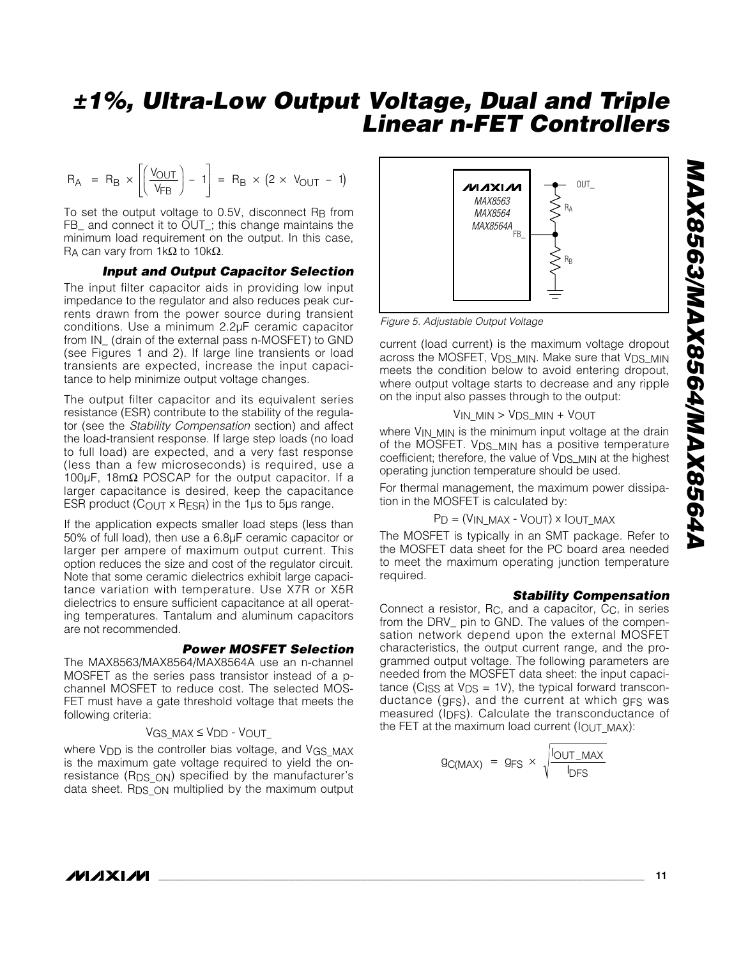$$
R_A = R_B \times \left[ \left( \frac{V_{OUT}}{V_{FB}} \right) - 1 \right] = R_B \times (2 \times V_{OUT} - 1)
$$

To set the output voltage to 0.5V, disconnect RB from FB\_ and connect it to OUT\_; this change maintains the minimum load requirement on the output. In this case, R<sub>A</sub> can vary from 1kΩ to 10kΩ.

#### *Input and Output Capacitor Selection*

The input filter capacitor aids in providing low input impedance to the regulator and also reduces peak currents drawn from the power source during transient conditions. Use a minimum 2.2µF ceramic capacitor from IN\_ (drain of the external pass n-MOSFET) to GND (see Figures 1 and 2). If large line transients or load transients are expected, increase the input capacitance to help minimize output voltage changes.

The output filter capacitor and its equivalent series resistance (ESR) contribute to the stability of the regulator (see the *Stability Compensation* section) and affect the load-transient response. If large step loads (no load to full load) are expected, and a very fast response (less than a few microseconds) is required, use a 100µF, 18mΩ POSCAP for the output capacitor. If a larger capacitance is desired, keep the capacitance ESR product (COUT  $\times$  RESR) in the 1 $\mu$ s to 5 $\mu$ s range.

If the application expects smaller load steps (less than 50% of full load), then use a 6.8µF ceramic capacitor or larger per ampere of maximum output current. This option reduces the size and cost of the regulator circuit. Note that some ceramic dielectrics exhibit large capacitance variation with temperature. Use X7R or X5R dielectrics to ensure sufficient capacitance at all operating temperatures. Tantalum and aluminum capacitors are not recommended.

#### *Power MOSFET Selection*

The MAX8563/MAX8564/MAX8564A use an n-channel MOSFET as the series pass transistor instead of a pchannel MOSFET to reduce cost. The selected MOS-FET must have a gate threshold voltage that meets the following criteria:

#### VGS\_MAX ≤ VDD - VOUT\_

where V<sub>DD</sub> is the controller bias voltage, and VGS MAX is the maximum gate voltage required to yield the onresistance (RDS\_ON) specified by the manufacturer's data sheet. R<sub>DS</sub> <sub>ON</sub> multiplied by the maximum output

![](_page_10_Figure_12.jpeg)

*Figure 5. Adjustable Output Voltage*

current (load current) is the maximum voltage dropout across the MOSFET, VDS\_MIN. Make sure that VDS\_MIN meets the condition below to avoid entering dropout, where output voltage starts to decrease and any ripple on the input also passes through to the output:

VIN\_MIN > VDS\_MIN + VOUT

where V<sub>IN\_MIN</sub> is the minimum input voltage at the drain of the MOSFET. V<sub>DS\_MIN</sub> has a positive temperature coefficient; therefore, the value of V<sub>DS\_MIN</sub> at the highest operating junction temperature should be used.

For thermal management, the maximum power dissipation in the MOSFET is calculated by:

#### PD = (VIN\_MAX - VOUT) x IOUT\_MAX

The MOSFET is typically in an SMT package. Refer to the MOSFET data sheet for the PC board area needed to meet the maximum operating junction temperature required.

#### *Stability Compensation*

Connect a resistor, RC, and a capacitor, CC, in series from the DRV\_ pin to GND. The values of the compensation network depend upon the external MOSFET characteristics, the output current range, and the programmed output voltage. The following parameters are needed from the MOSFET data sheet: the input capacitance (C<sub>ISS</sub> at  $V_{DS} = 1V$ ), the typical forward transconductance (gFS), and the current at which gFS was measured (IDFS). Calculate the transconductance of the FET at the maximum load current (lOUT\_MAX):

$$
g_{C(MAX)} = g_{FS} \times \sqrt{\frac{I_{OUT\_MAX}}{I_{DFS}}}
$$

**MAXIM**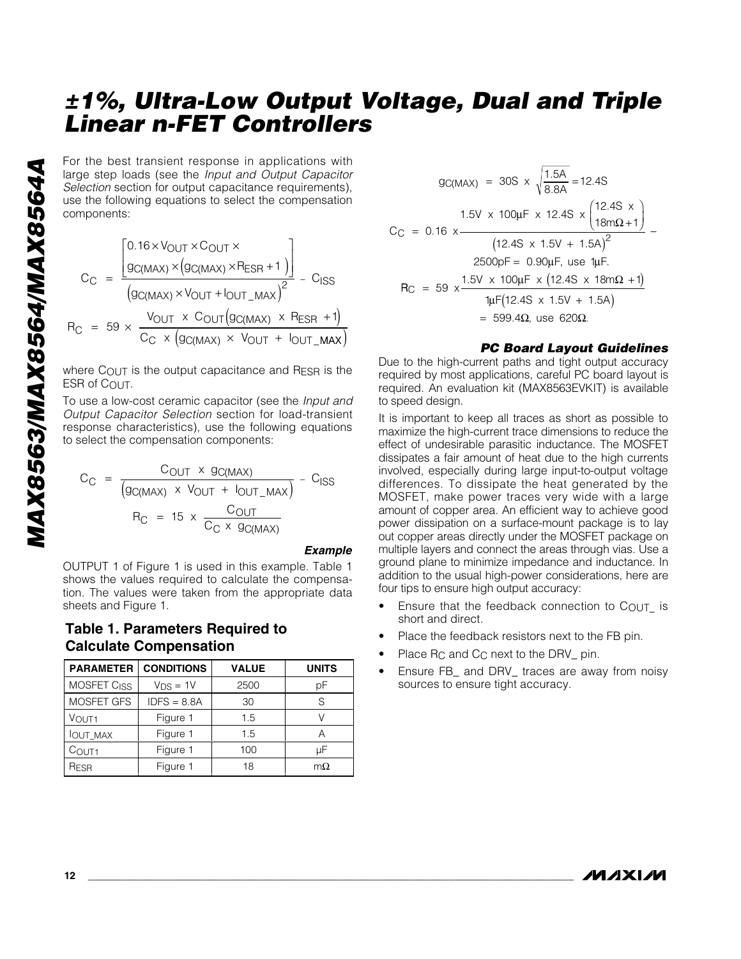large step loads (see the *Input and Output Capacitor Selection* section for output capacitance requirements), use the following equations to select the compensation components:

For the best transient response in applications with large step loads (see the *Input and Output Capacitor Selection* section for output capacitance requirements), use the following equations to select the compensation components:\n\n
$$
C_{\text{C}} = \frac{\left[0.16 \times V_{\text{OUT}} \times C_{\text{OUT}} \times \left(\frac{1}{9 \text{C} (\text{MAX})} \times \left(\frac{1}{9 \text{C} (\text{MAX})} \times \frac{1}{10 \text{U} \cdot \text{MAX}}\right)\right]}{\left(\frac{1}{9 \text{C} (\text{MAX})} \times \frac{1}{9 \text{C} (\text{MAX})} \times \frac{1}{10 \text{U} \cdot \text{MAX}}\right)^{2}} - C_{\text{ISS}}
$$
\n\n
$$
R_{\text{C}} = 59 \times \frac{V_{\text{OUT}} \times C_{\text{OUT}} \left(\frac{1}{9 \text{C} (\text{MAX})} \times \frac{1}{10 \text{U} \cdot \text{MAX}}\right)}{\left(\frac{1}{9 \text{C} (\text{MAX})} \times V_{\text{OUT}} + \frac{1}{10 \text{U} \cdot \text{MAX}}\right)^{2}} - C_{\text{ISS}}
$$
\n\nwhere C\_{\text{OUT}} is the output capacitance and RESR is the ESR of COUT.\n\nTo use a low-cost ceramic capacitor (see the *Input and Output Capacitor Selection* section for load-transient response characteristics), use the following equations to select the compensation components:\n\n
$$
C_{\text{C}} = \frac{C_{\text{OUT}} \times g_{\text{C} (\text{MAX})}}{\left(g_{\text{C} (\text{MAX})} \times V_{\text{OUT}} + \frac{1}{10 \text{UT} \cdot \text{MAX}}\right)} - C_{\text{ISS}}
$$
\n\n
$$
R_{\text{C}} = 15 \times \frac{C_{\text{OUT}}}{C_{\text{C}} \times g_{\text{C} (\text{MAX})}}
$$

where  $C_{\text{OUT}}$  is the output capacitance and  $R_{\text{FSR}}$  is the ESR of COUT.

To use a low-cost ceramic capacitor (see the *Input and Output Capacitor Selection* section for load-transient response characteristics), use the following equations to select the compensation components:

$$
C_{C} = \frac{C_{OUT} \times g_{C(MAX)}}{(g_{C(MAX)} \times V_{OUT} + I_{OUT\_MAX})} - C_{ISS}
$$

$$
R_{C} = 15 \times \frac{C_{OUT}}{C_{C} \times g_{C(MAX)}}
$$

*Example*

OUTPUT 1 of Figure 1 is used in this example. Table 1 shows the values required to calculate the compensation. The values were taken from the appropriate data sheets and Figure 1.

#### **Table 1. Parameters Required to Calculate Compensation**

| <b>PARAMETER</b>              | <b>CONDITIONS</b> | <b>VALUE</b> | <b>UNITS</b> |
|-------------------------------|-------------------|--------------|--------------|
| MOSFET C <sub>ISS</sub>       | $V_{DS} = 1V$     | 2500         | рF           |
| <b>MOSFET GFS</b>             | $IDFS = 8.8A$     |              | S            |
| Figure 1<br>V <sub>OUT1</sub> |                   | 1.5          |              |
| Figure 1<br><b>IOUT MAX</b>   |                   | 1.5          | А            |
| Figure 1<br>C <sub>OUT1</sub> |                   | 100          | uF           |
| Figure 1<br>RESR              |                   | 18           | $m\Omega$    |

$$
g_{C(MAX)} = 30S \times \sqrt{\frac{1.5A}{8.8A}} = 12.4S
$$
  
\n
$$
1.5V \times 100\mu F \times 12.4S \times \left(\frac{12.4S \times 1.5V + 1.5A}{18m\Omega + 1}\right)
$$
  
\n
$$
2500pF = 0.90\mu F, \text{ use 1}\mu F.
$$
  
\n
$$
R_C = 59 \times \frac{1.5V \times 100\mu F \times (12.4S \times 18m\Omega + 1)}{1\mu F(12.4S \times 1.5V + 1.5A)}
$$
  
\n= 599.4 $\Omega$ , use 620 $\Omega$ .

#### *PC Board Layout Guidelines*

Due to the high-current paths and tight output accuracy required by most applications, careful PC board layout is required. An evaluation kit (MAX8563EVKIT) is available to speed design.

It is important to keep all traces as short as possible to maximize the high-current trace dimensions to reduce the effect of undesirable parasitic inductance. The MOSFET dissipates a fair amount of heat due to the high currents involved, especially during large input-to-output voltage differences. To dissipate the heat generated by the MOSFET, make power traces very wide with a large amount of copper area. An efficient way to achieve good power dissipation on a surface-mount package is to lay out copper areas directly under the MOSFET package on multiple layers and connect the areas through vias. Use a ground plane to minimize impedance and inductance. In addition to the usual high-power considerations, here are four tips to ensure high output accuracy:

- Ensure that the feedback connection to  $C_{\text{OUT}}$  is short and direct.
- Place the feedback resistors next to the FB pin.
- Place R<sub>C</sub> and C<sub>C</sub> next to the DRV<sub>-pin.</sub>
- Ensure FB\_ and DRV\_ traces are away from noisy sources to ensure tight accuracy.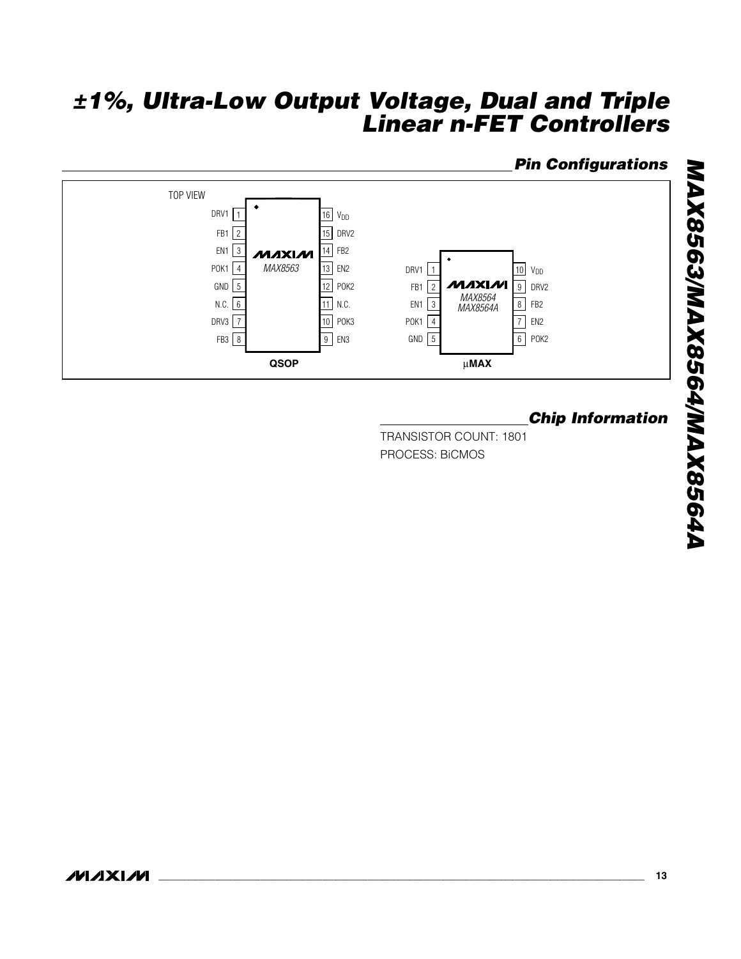### *Pin Configurations*

![](_page_12_Figure_2.jpeg)

### *Chip Information*

TRANSISTOR COUNT: 1801 PROCESS: BiCMOS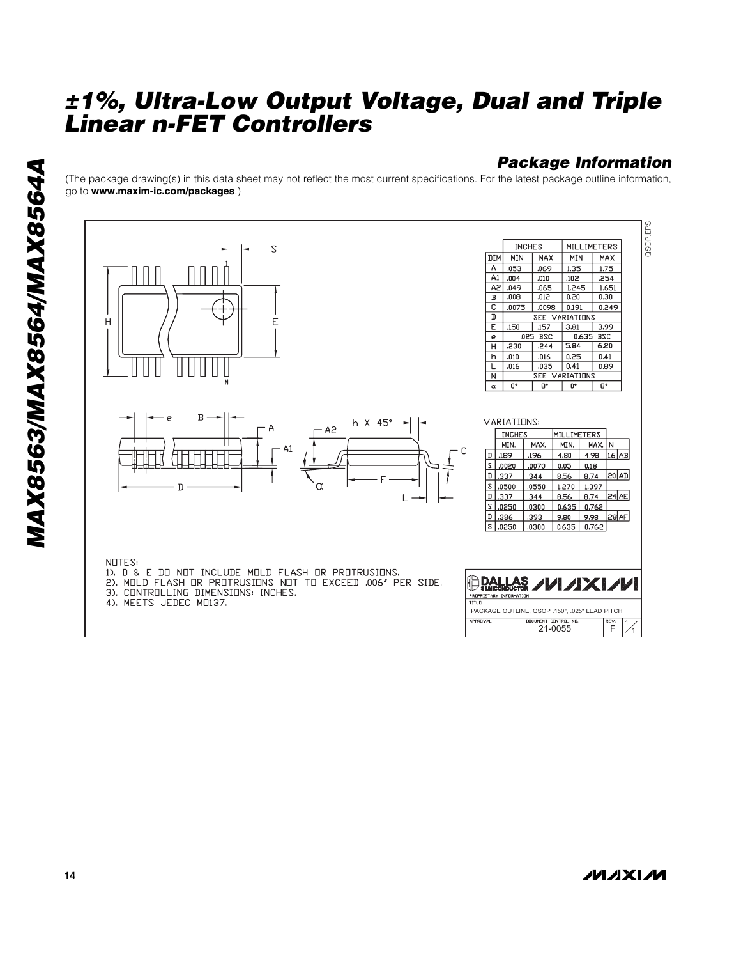### *Package Information*

(The package drawing(s) in this data sheet may not reflect the most current specifications. For the latest package outline information, go to **www.maxim-ic.com/packages**.)

![](_page_13_Figure_3.jpeg)